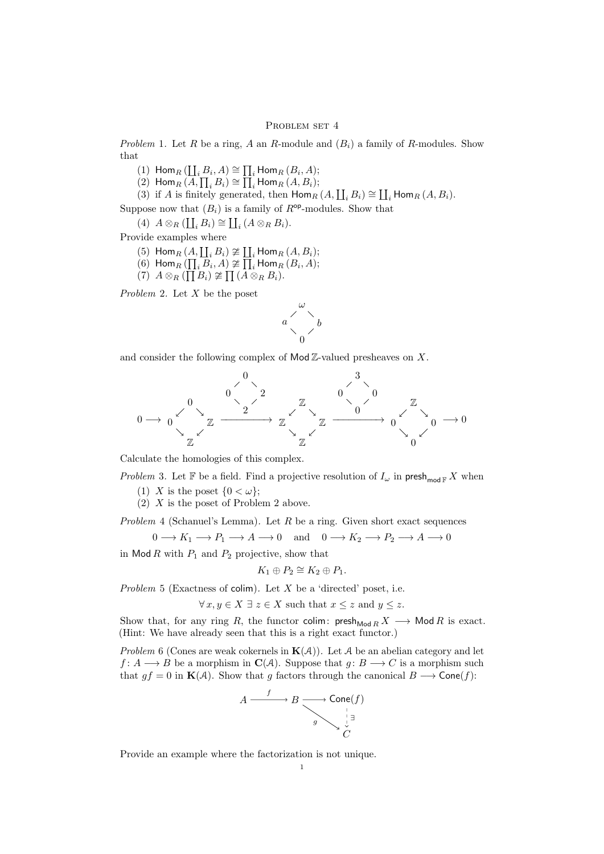## PROBLEM SET 4

Problem 1. Let R be a ring, A an R-module and  $(B_i)$  a family of R-modules. Show that

- (1)  $\text{Hom}_R\left(\coprod_i B_i, A\right) \cong \prod_i \text{Hom}_R\left(B_i, A\right);$
- (2) Hom $_R(A, \prod_i B_i) \cong \prod_i$  Hom $_R(A, B_i)$ ;
- (3) if A is finitely generated, then Hom<sub>R</sub>  $(A, \coprod_i B_i) \cong \coprod_i$  Hom<sub>R</sub>  $(A, B_i)$ .

Suppose now that  $(B_i)$  is a family of  $R^{op}$ -modules. Show that

(4)  $A \otimes_R (\coprod_i B_i) \cong \coprod_i (A \otimes_R B_i).$ 

Provide examples where

- (5)  $\text{Hom}_R(A, \coprod_i B_i) \ncong \coprod_i \text{Hom}_R(A, B_i);$
- (6) Hom $_R(\prod_i \overline{B}_i, A) \ncong \overline{\prod}_i$  Hom $_R(B_i, A)$ ;
- $(7) A \otimes_R (\prod B_i) \ncong \prod (\stackrel{\frown}{A} \otimes_R B_i).$

Problem 2. Let X be the poset



and consider the following complex of  $Mod \mathbb{Z}$ -valued presheaves on X.



Calculate the homologies of this complex.

Problem 3. Let F be a field. Find a projective resolution of  $I_{\omega}$  in presh<sub>mod F</sub> X when

- (1) X is the poset  $\{0 < \omega\}$ ;
- (2) X is the poset of Problem 2 above.

Problem 4 (Schanuel's Lemma). Let  $R$  be a ring. Given short exact sequences

$$
0 \longrightarrow K_1 \longrightarrow P_1 \longrightarrow A \longrightarrow 0 \quad \text{and} \quad 0 \longrightarrow K_2 \longrightarrow P_2 \longrightarrow A \longrightarrow 0
$$

in Mod R with  $P_1$  and  $P_2$  projective, show that

$$
K_1 \oplus P_2 \cong K_2 \oplus P_1.
$$

Problem 5 (Exactness of colim). Let  $X$  be a 'directed' poset, i.e.

 $\forall x, y \in X \exists z \in X$  such that  $x \leq z$  and  $y \leq z$ .

Show that, for any ring R, the functor colim:  $\mathsf{presh}_{\mathsf{Mod}\,R} X \longrightarrow \mathsf{Mod}\,R$  is exact. (Hint: We have already seen that this is a right exact functor.)

Problem 6 (Cones are weak cokernels in  $K(A)$ ). Let A be an abelian category and let  $f: A \longrightarrow B$  be a morphism in  $\mathbf{C}(A)$ . Suppose that  $g: B \longrightarrow C$  is a morphism such that  $gf = 0$  in  $\mathbf{K}(\mathcal{A})$ . Show that g factors through the canonical  $B \longrightarrow \mathsf{Cone}(f)$ :



Provide an example where the factorization is not unique.